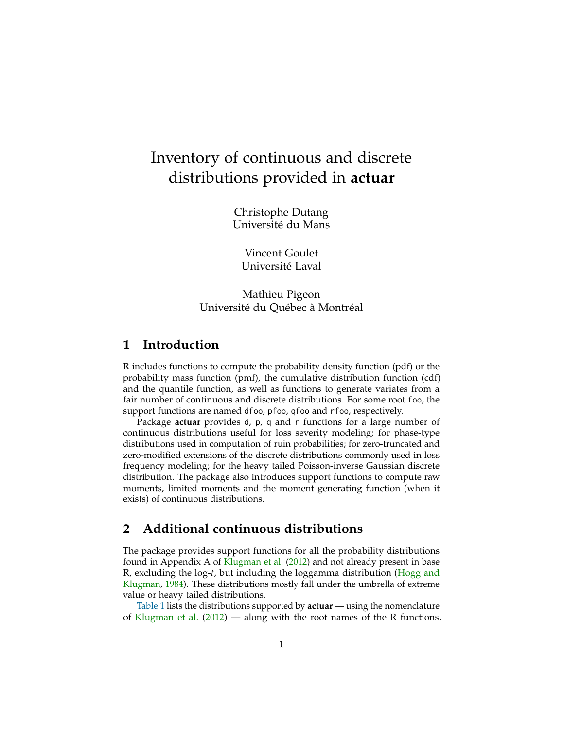# Inventory of continuous and discrete distributions provided in **actuar**

Christophe Dutang Université du Mans

Vincent Goulet Université Laval

Mathieu Pigeon Université du Québec à Montréal

# **1 Introduction**

R includes functions to compute the probability density function (pdf) or the probability mass function (pmf), the cumulative distribution function (cdf) and the quantile function, as well as functions to generate variates from a fair number of continuous and discrete distributions. For some root foo, the support functions are named dfoo, pfoo, qfoo and rfoo, respectively.

Package **actuar** provides d, p, q and r functions for a large number of continuous distributions useful for loss severity modeling; for phase-type distributions used in computation of ruin probabilities; for zero-truncated and zero-modified extensions of the discrete distributions commonly used in loss frequency modeling; for the heavy tailed Poisson-inverse Gaussian discrete distribution. The package also introduces support functions to compute raw moments, limited moments and the moment generating function (when it exists) of continuous distributions.

# **2 Additional continuous distributions**

The package provides support functions for all the probability distributions found in Appendix A of [Klugman et al.](#page-21-0) [\(2012\)](#page-21-0) and not already present in base R, excluding the log-*t*, but including the loggamma distribution [\(Hogg and](#page-21-1) [Klugman,](#page-21-1) [1984\)](#page-21-1). These distributions mostly fall under the umbrella of extreme value or heavy tailed distributions.

[Table 1](#page-1-0) lists the distributions supported by **actuar** — using the nomenclature of [Klugman et al.](#page-21-0) [\(2012\)](#page-21-0) — along with the root names of the R functions.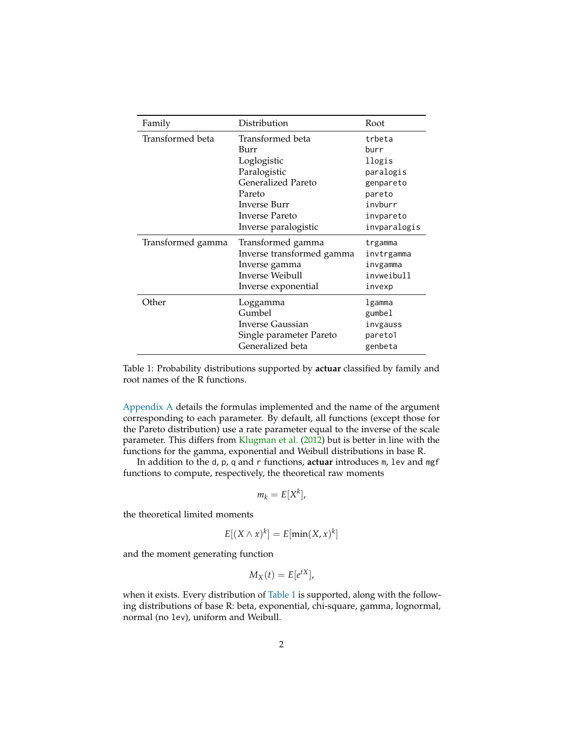| Family            | Distribution              | Root         |
|-------------------|---------------------------|--------------|
| Transformed beta  | Transformed beta          | trbeta       |
|                   | Burr                      | hurr         |
|                   | Loglogistic               | llogis       |
|                   | Paralogistic              | paralogis    |
|                   | <b>Generalized Pareto</b> | genpareto    |
|                   | Pareto                    | pareto       |
|                   | <b>Inverse Burr</b>       | invburr      |
|                   | Inverse Pareto            | invpareto    |
|                   | Inverse paralogistic      | invparalogis |
| Transformed gamma | Transformed gamma         | trgamma      |
|                   | Inverse transformed gamma | invtrgamma   |
|                   | Inverse gamma             | invgamma     |
|                   | Inverse Weibull           | invweibull   |
|                   | Inverse exponential       | invexp       |
| Other             | Loggamma                  | lgamma       |
|                   | Gumbel                    | gumbel       |
|                   | Inverse Gaussian          | invgauss     |
|                   | Single parameter Pareto   | pareto1      |
|                   | Generalized beta          | genbeta      |

<span id="page-1-0"></span>Table 1: Probability distributions supported by **actuar** classified by family and root names of the R functions.

[Appendix A](#page-9-0) details the formulas implemented and the name of the argument corresponding to each parameter. By default, all functions (except those for the Pareto distribution) use a rate parameter equal to the inverse of the scale parameter. This differs from [Klugman et al.](#page-21-0) [\(2012\)](#page-21-0) but is better in line with the functions for the gamma, exponential and Weibull distributions in base R.

In addition to the d, p, q and r functions, **actuar** introduces m, lev and mgf functions to compute, respectively, the theoretical raw moments

$$
m_k = E[X^k],
$$

the theoretical limited moments

$$
E[(X \wedge x)^k] = E[\min(X, x)^k]
$$

and the moment generating function

$$
M_X(t) = E[e^{tX}],
$$

when it exists. Every distribution of [Table 1](#page-1-0) is supported, along with the following distributions of base R: beta, exponential, chi-square, gamma, lognormal, normal (no lev), uniform and Weibull.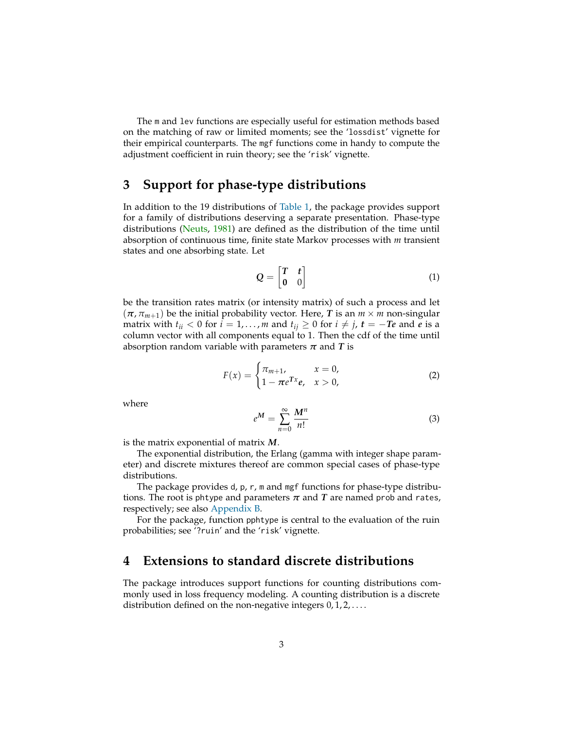The m and lev functions are especially useful for estimation methods based on the matching of raw or limited moments; see the 'lossdist' vignette for their empirical counterparts. The mgf functions come in handy to compute the adjustment coefficient in ruin theory; see the 'risk' vignette.

# **3 Support for phase-type distributions**

In addition to the 19 distributions of [Table 1,](#page-1-0) the package provides support for a family of distributions deserving a separate presentation. Phase-type distributions [\(Neuts,](#page-21-2) [1981\)](#page-21-2) are defined as the distribution of the time until absorption of continuous time, finite state Markov processes with *m* transient states and one absorbing state. Let

$$
Q = \begin{bmatrix} T & t \\ 0 & 0 \end{bmatrix} \tag{1}
$$

be the transition rates matrix (or intensity matrix) of such a process and let  $(\pi, \pi_{m+1})$  be the initial probability vector. Here, *T* is an  $m \times m$  non-singular matrix with  $t_{ii} < 0$  for  $i = 1, ..., m$  and  $t_{ij} \ge 0$  for  $i \ne j$ ,  $t = -Te$  and *e* is a column vector with all components equal to 1. Then the cdf of the time until absorption random variable with parameters  $\pi$  and  $T$  is

$$
F(x) = \begin{cases} \pi_{m+1}, & x = 0, \\ 1 - \pi e^{Tx} e, & x > 0, \end{cases}
$$
 (2)

where

$$
e^M = \sum_{n=0}^{\infty} \frac{M^n}{n!}
$$
 (3)

is the matrix exponential of matrix *M*.

The exponential distribution, the Erlang (gamma with integer shape parameter) and discrete mixtures thereof are common special cases of phase-type distributions.

The package provides d, p, r, m and mgf functions for phase-type distributions. The root is phtype and parameters  $\pi$  and  $T$  are named prob and rates, respectively; see also [Appendix B.](#page-16-0)

For the package, function pphtype is central to the evaluation of the ruin probabilities; see '?ruin' and the 'risk' vignette.

# **4 Extensions to standard discrete distributions**

The package introduces support functions for counting distributions commonly used in loss frequency modeling. A counting distribution is a discrete distribution defined on the non-negative integers  $0, 1, 2, \ldots$ .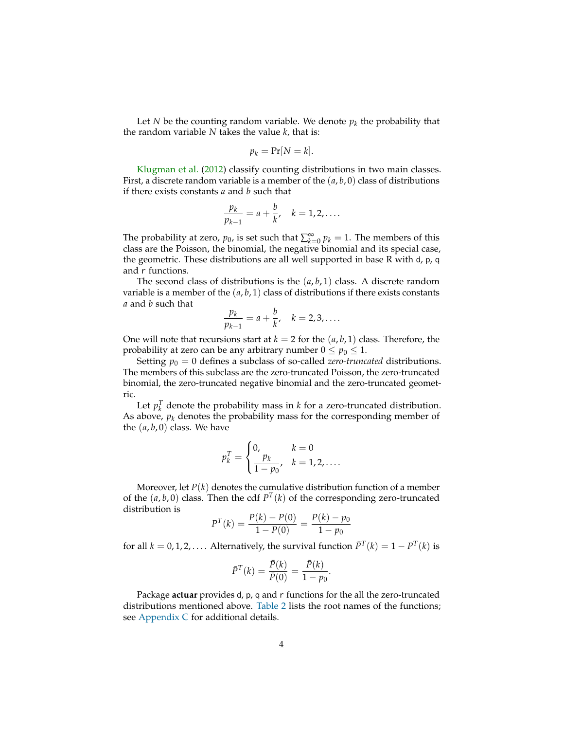Let *N* be the counting random variable. We denote  $p_k$  the probability that the random variable *N* takes the value *k*, that is:

$$
p_k = \Pr[N = k].
$$

[Klugman et al.](#page-21-0) [\(2012\)](#page-21-0) classify counting distributions in two main classes. First, a discrete random variable is a member of the (*a*, *b*, 0) class of distributions if there exists constants *a* and *b* such that

$$
\frac{p_k}{p_{k-1}} = a + \frac{b}{k}, \quad k = 1, 2, \dots
$$

The probability at zero,  $p_0$ , is set such that  $\sum_{k=0}^{\infty} p_k = 1$ . The members of this class are the Poisson, the binomial, the negative binomial and its special case, the geometric. These distributions are all well supported in base R with d, p, q and r functions.

The second class of distributions is the (*a*, *b*, 1) class. A discrete random variable is a member of the  $(a, b, 1)$  class of distributions if there exists constants *a* and *b* such that

$$
\frac{p_k}{p_{k-1}} = a + \frac{b}{k}, \quad k = 2, 3, \dots
$$

One will note that recursions start at  $k = 2$  for the  $(a, b, 1)$  class. Therefore, the probability at zero can be any arbitrary number  $0 \le p_0 \le 1$ .

Setting  $p_0 = 0$  defines a subclass of so-called *zero-truncated* distributions. The members of this subclass are the zero-truncated Poisson, the zero-truncated binomial, the zero-truncated negative binomial and the zero-truncated geometric.

Let  $p_k^T$  denote the probability mass in *k* for a zero-truncated distribution. As above,  $p_k$  denotes the probability mass for the corresponding member of the  $(a, b, 0)$  class. We have

$$
p_k^T = \begin{cases} 0, & k = 0 \\ \frac{p_k}{1 - p_0}, & k = 1, 2, \dots \end{cases}
$$

Moreover, let  $P(k)$  denotes the cumulative distribution function of a member of the  $(a, b, 0)$  class. Then the cdf  $P<sup>T</sup>(k)$  of the corresponding zero-truncated distribution is

$$
P^{T}(k) = \frac{P(k) - P(0)}{1 - P(0)} = \frac{P(k) - p_0}{1 - p_0}
$$

for all  $k = 0, 1, 2, \ldots$ . Alternatively, the survival function  $\bar{P}^T(k) = 1 - P^T(k)$  is

$$
\bar{P}^{T}(k) = \frac{\bar{P}(k)}{\bar{P}(0)} = \frac{\bar{P}(k)}{1 - p_{0}}.
$$

Package **actuar** provides d, p, q and r functions for the all the zero-truncated distributions mentioned above. [Table 2](#page-4-0) lists the root names of the functions; see [Appendix C](#page-16-1) for additional details.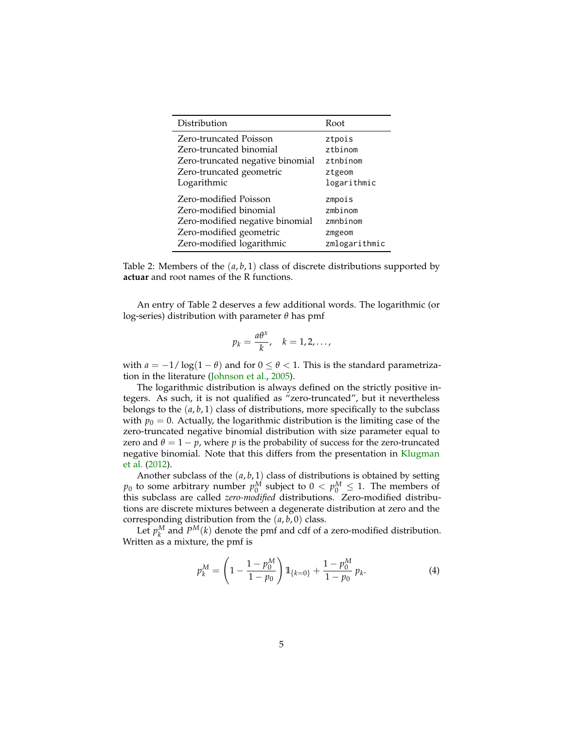| Distribution                     | Root          |
|----------------------------------|---------------|
| Zero-truncated Poisson           | ztpois        |
| Zero-truncated binomial          | $z$ thinom    |
| Zero-truncated negative binomial | ztnbinom      |
| Zero-truncated geometric         | ztgeom        |
| Logarithmic                      | logarithmic   |
| Zero-modified Poisson            | zmpois        |
| Zero-modified binomial           | zmbinom       |
| Zero-modified negative binomial  | zmnbinom      |
| Zero-modified geometric          | zmgeom        |
| Zero-modified logarithmic        | zmlogarithmic |

<span id="page-4-0"></span>Table 2: Members of the (*a*, *b*, 1) class of discrete distributions supported by **actuar** and root names of the R functions.

An entry of Table 2 deserves a few additional words. The logarithmic (or log-series) distribution with parameter *θ* has pmf

$$
p_k = \frac{a\theta^x}{k}, \quad k = 1, 2, \ldots,
$$

with  $a = -1/\log(1-\theta)$  and for  $0 \le \theta < 1$ . This is the standard parametrization in the literature [\(Johnson et al.,](#page-21-3) [2005\)](#page-21-3).

The logarithmic distribution is always defined on the strictly positive integers. As such, it is not qualified as "zero-truncated", but it nevertheless belongs to the  $(a, b, 1)$  class of distributions, more specifically to the subclass with  $p_0 = 0$ . Actually, the logarithmic distribution is the limiting case of the zero-truncated negative binomial distribution with size parameter equal to zero and  $\theta = 1 - p$ , where p is the probability of success for the zero-truncated negative binomial. Note that this differs from the presentation in [Klugman](#page-21-0) [et al.](#page-21-0) [\(2012\)](#page-21-0).

Another subclass of the (*a*, *b*, 1) class of distributions is obtained by setting  $p_0$  to some arbitrary number  $p_0^M$  subject to  $0 < p_0^M \leq 1$ . The members of this subclass are called *zero-modified* distributions. Zero-modified distributions are discrete mixtures between a degenerate distribution at zero and the corresponding distribution from the  $(a, b, 0)$  class.

Let  $p_k^M$  and  $P^M(k)$  denote the pmf and cdf of a zero-modified distribution. Written as a mixture, the pmf is

<span id="page-4-1"></span>
$$
p_k^M = \left(1 - \frac{1 - p_0^M}{1 - p_0}\right) 1\!\!1_{\{k=0\}} + \frac{1 - p_0^M}{1 - p_0} p_k. \tag{4}
$$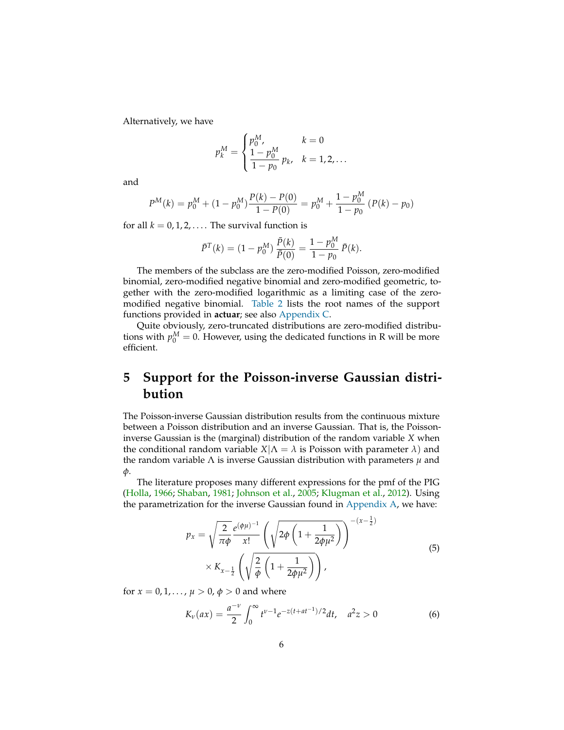Alternatively, we have

$$
p_k^M = \begin{cases} p_0^M, & k = 0\\ \frac{1 - p_0^M}{1 - p_0} p_k, & k = 1, 2, \dots \end{cases}
$$

and

$$
P^{M}(k) = p_0^{M} + (1 - p_0^{M}) \frac{P(k) - P(0)}{1 - P(0)} = p_0^{M} + \frac{1 - p_0^{M}}{1 - p_0} (P(k) - p_0)
$$

for all  $k = 0, 1, 2, \ldots$ . The survival function is

$$
\bar{P}^{T}(k) = (1 - p_0^M) \frac{\bar{P}(k)}{\bar{P}(0)} = \frac{1 - p_0^M}{1 - p_0} \bar{P}(k).
$$

The members of the subclass are the zero-modified Poisson, zero-modified binomial, zero-modified negative binomial and zero-modified geometric, together with the zero-modified logarithmic as a limiting case of the zeromodified negative binomial. [Table 2](#page-4-0) lists the root names of the support functions provided in **actuar**; see also [Appendix C.](#page-16-1)

Quite obviously, zero-truncated distributions are zero-modified distributions with  $p_0^M = 0$ . However, using the dedicated functions in R will be more efficient.

# **5 Support for the Poisson-inverse Gaussian distribution**

The Poisson-inverse Gaussian distribution results from the continuous mixture between a Poisson distribution and an inverse Gaussian. That is, the Poissoninverse Gaussian is the (marginal) distribution of the random variable *X* when the conditional random variable  $X|\Lambda = \lambda$  is Poisson with parameter  $\lambda$ ) and the random variable Λ is inverse Gaussian distribution with parameters *µ* and *φ*.

The literature proposes many different expressions for the pmf of the PIG [\(Holla,](#page-21-4) [1966;](#page-21-4) [Shaban,](#page-22-0) [1981;](#page-22-0) [Johnson et al.,](#page-21-3) [2005;](#page-21-3) [Klugman et al.,](#page-21-0) [2012\)](#page-21-0). Using the parametrization for the inverse Gaussian found in [Appendix A,](#page-9-0) we have:

$$
p_x = \sqrt{\frac{2}{\pi \phi}} \frac{e^{(\phi \mu)^{-1}}}{x!} \left( \sqrt{2\phi \left( 1 + \frac{1}{2\phi \mu^2} \right)} \right)^{-(x-\frac{1}{2})} \times K_{x-\frac{1}{2}} \left( \sqrt{\frac{2}{\phi} \left( 1 + \frac{1}{2\phi \mu^2} \right)} \right), \tag{5}
$$

<span id="page-5-0"></span>for  $x = 0, 1, ..., \mu > 0, \phi > 0$  and where

<span id="page-5-1"></span>
$$
K_{\nu}(ax) = \frac{a^{-\nu}}{2} \int_0^{\infty} t^{\nu-1} e^{-z(t+at^{-1})/2} dt, \quad a^2 z > 0 \tag{6}
$$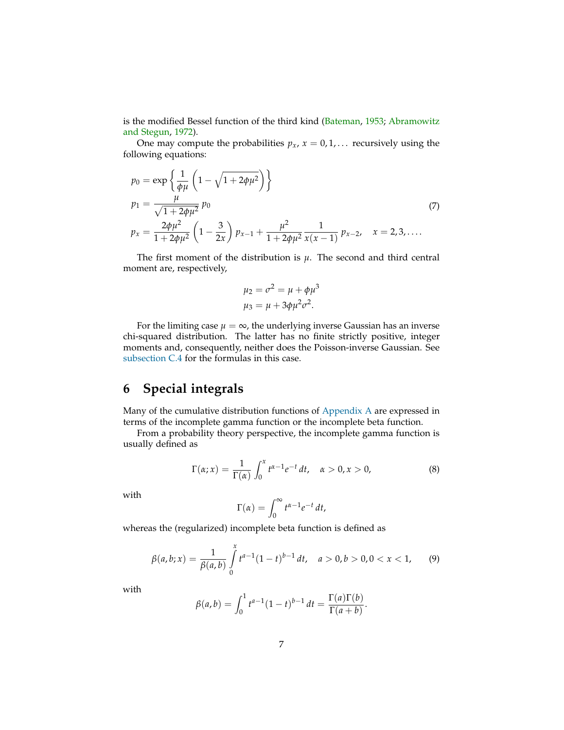is the modified Bessel function of the third kind [\(Bateman,](#page-21-5) [1953;](#page-21-5) [Abramowitz](#page-21-6) [and Stegun,](#page-21-6) [1972\)](#page-21-6).

One may compute the probabilities  $p_x$ ,  $x = 0, 1, \ldots$  recursively using the following equations:

<span id="page-6-1"></span>
$$
p_0 = \exp\left\{\frac{1}{\phi\mu} \left(1 - \sqrt{1 + 2\phi\mu^2}\right)\right\}
$$
  
\n
$$
p_1 = \frac{\mu}{\sqrt{1 + 2\phi\mu^2}} p_0
$$
  
\n
$$
p_x = \frac{2\phi\mu^2}{1 + 2\phi\mu^2} \left(1 - \frac{3}{2x}\right) p_{x-1} + \frac{\mu^2}{1 + 2\phi\mu^2} \frac{1}{x(x-1)} p_{x-2}, \quad x = 2, 3, ....
$$
\n(7)

The first moment of the distribution is  $\mu$ . The second and third central moment are, respectively,

$$
\mu_2 = \sigma^2 = \mu + \phi \mu^3
$$
  

$$
\mu_3 = \mu + 3\phi \mu^2 \sigma^2.
$$

For the limiting case  $\mu = \infty$ , the underlying inverse Gaussian has an inverse chi-squared distribution. The latter has no finite strictly positive, integer moments and, consequently, neither does the Poisson-inverse Gaussian. See [subsection C.4](#page-20-0) for the formulas in this case.

# **6 Special integrals**

Many of the cumulative distribution functions of [Appendix A](#page-9-0) are expressed in terms of the incomplete gamma function or the incomplete beta function.

From a probability theory perspective, the incomplete gamma function is usually defined as

<span id="page-6-2"></span>
$$
\Gamma(\alpha; x) = \frac{1}{\Gamma(\alpha)} \int_0^x t^{\alpha - 1} e^{-t} dt, \quad \alpha > 0, x > 0,
$$
\n(8)

with

$$
\Gamma(\alpha) = \int_0^\infty t^{\alpha-1} e^{-t} dt,
$$

whereas the (regularized) incomplete beta function is defined as

<span id="page-6-0"></span>
$$
\beta(a,b;x) = \frac{1}{\beta(a,b)} \int_{0}^{x} t^{a-1} (1-t)^{b-1} dt, \quad a > 0, b > 0, 0 < x < 1,
$$
 (9)

with

$$
\beta(a,b) = \int_0^1 t^{a-1} (1-t)^{b-1} dt = \frac{\Gamma(a)\Gamma(b)}{\Gamma(a+b)}.
$$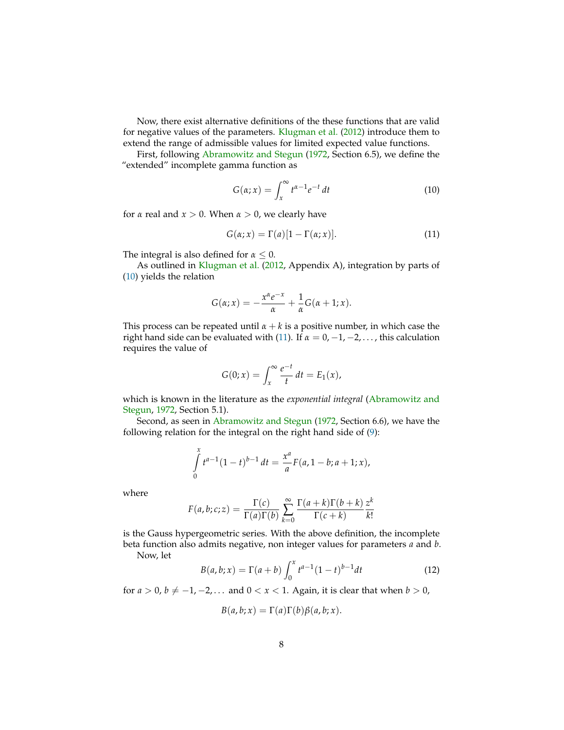Now, there exist alternative definitions of the these functions that are valid for negative values of the parameters. [Klugman et al.](#page-21-0) [\(2012\)](#page-21-0) introduce them to extend the range of admissible values for limited expected value functions.

First, following [Abramowitz and Stegun](#page-21-6) [\(1972,](#page-21-6) Section 6.5), we define the "extended" incomplete gamma function as

<span id="page-7-0"></span>
$$
G(\alpha; x) = \int_{x}^{\infty} t^{\alpha - 1} e^{-t} dt
$$
 (10)

for  $\alpha$  real and  $x > 0$ . When  $\alpha > 0$ , we clearly have

<span id="page-7-1"></span>
$$
G(\alpha; x) = \Gamma(a)[1 - \Gamma(\alpha; x)].
$$
\n(11)

The integral is also defined for  $\alpha \leq 0$ .

As outlined in [Klugman et al.](#page-21-0) [\(2012,](#page-21-0) Appendix A), integration by parts of [\(10\)](#page-7-0) yields the relation

$$
G(\alpha; x) = -\frac{x^{\alpha}e^{-x}}{\alpha} + \frac{1}{\alpha}G(\alpha + 1; x).
$$

This process can be repeated until  $\alpha + k$  is a positive number, in which case the right hand side can be evaluated with [\(11\)](#page-7-1). If  $\alpha = 0, -1, -2, \ldots$ , this calculation requires the value of

$$
G(0;x) = \int_x^{\infty} \frac{e^{-t}}{t} dt = E_1(x),
$$

which is known in the literature as the *exponential integral* [\(Abramowitz and](#page-21-6) [Stegun,](#page-21-6) [1972,](#page-21-6) Section 5.1).

Second, as seen in [Abramowitz and Stegun](#page-21-6) [\(1972,](#page-21-6) Section 6.6), we have the following relation for the integral on the right hand side of [\(9\)](#page-6-0):

$$
\int_{0}^{x} t^{a-1} (1-t)^{b-1} dt = \frac{x^a}{a} F(a, 1-b; a+1; x),
$$

where

$$
F(a,b;c;z) = \frac{\Gamma(c)}{\Gamma(a)\Gamma(b)} \sum_{k=0}^{\infty} \frac{\Gamma(a+k)\Gamma(b+k)}{\Gamma(c+k)} \frac{z^k}{k!}
$$

is the Gauss hypergeometric series. With the above definition, the incomplete beta function also admits negative, non integer values for parameters *a* and *b*. Now, let

<span id="page-7-2"></span>
$$
B(a,b;x) = \Gamma(a+b) \int_0^x t^{a-1} (1-t)^{b-1} dt
$$
 (12)

for  $a > 0$ ,  $b \neq -1, -2, \ldots$  and  $0 < x < 1$ . Again, it is clear that when  $b > 0$ ,

$$
B(a,b;x) = \Gamma(a)\Gamma(b)\beta(a,b;x).
$$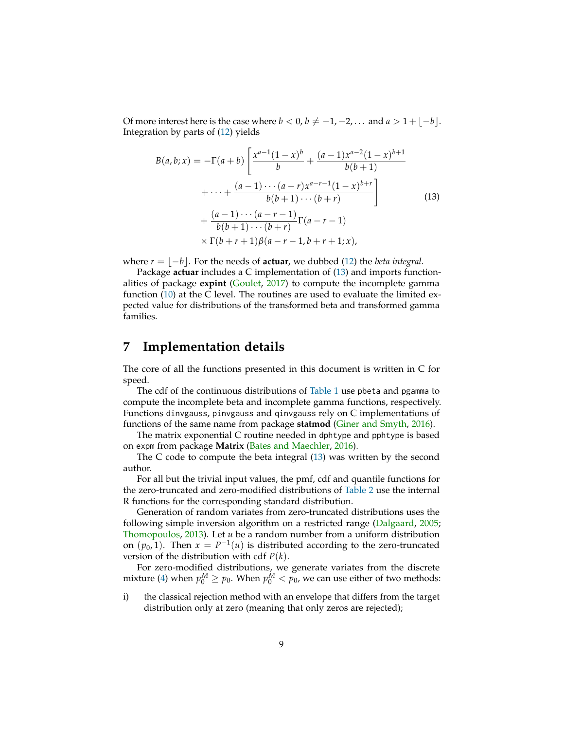Of more interest here is the case where *b* < 0, *b*  $\neq$  −1, −2, ... and *a* > 1 +  $\lfloor -b \rfloor$ . Integration by parts of [\(12\)](#page-7-2) yields

<span id="page-8-0"></span>
$$
B(a,b;x) = -\Gamma(a+b) \left[ \frac{x^{a-1}(1-x)^b}{b} + \frac{(a-1)x^{a-2}(1-x)^{b+1}}{b(b+1)} + \cdots + \frac{(a-1)\cdots(a-r)x^{a-r-1}(1-x)^{b+r}}{b(b+1)\cdots(b+r)} \right]
$$
  
+ 
$$
\frac{(a-1)\cdots(a-r-1)}{b(b+1)\cdots(b+r)} \Gamma(a-r-1)
$$
  
× 
$$
\Gamma(b+r+1)\beta(a-r-1,b+r+1;x),
$$
 (13)

where  $r = |-b|$ . For the needs of **actuar**, we dubbed [\(12\)](#page-7-2) the *beta integral*.

Package **actuar** includes a C implementation of [\(13\)](#page-8-0) and imports functionalities of package **expint** [\(Goulet,](#page-21-7) [2017\)](#page-21-7) to compute the incomplete gamma function [\(10\)](#page-7-0) at the C level. The routines are used to evaluate the limited expected value for distributions of the transformed beta and transformed gamma families.

# **7 Implementation details**

The core of all the functions presented in this document is written in C for speed.

The cdf of the continuous distributions of [Table 1](#page-1-0) use pbeta and pgamma to compute the incomplete beta and incomplete gamma functions, respectively. Functions dinvgauss, pinvgauss and qinvgauss rely on C implementations of functions of the same name from package **statmod** [\(Giner and Smyth,](#page-21-8) [2016\)](#page-21-8).

The matrix exponential C routine needed in dphtype and pphtype is based on expm from package **Matrix** [\(Bates and Maechler,](#page-21-9) [2016\)](#page-21-9).

The C code to compute the beta integral [\(13\)](#page-8-0) was written by the second author.

For all but the trivial input values, the pmf, cdf and quantile functions for the zero-truncated and zero-modified distributions of [Table 2](#page-4-0) use the internal R functions for the corresponding standard distribution.

Generation of random variates from zero-truncated distributions uses the following simple inversion algorithm on a restricted range [\(Dalgaard,](#page-21-10) [2005;](#page-21-10) [Thomopoulos,](#page-22-1) [2013\)](#page-22-1). Let *u* be a random number from a uniform distribution on  $(p_0, 1)$ . Then  $x = P^{-1}(u)$  is distributed according to the zero-truncated version of the distribution with cdf *P*(*k*).

For zero-modified distributions, we generate variates from the discrete mixture [\(4\)](#page-4-1) when  $p_0^M \ge p_0$ . When  $p_0^M < p_0$ , we can use either of two methods:

i) the classical rejection method with an envelope that differs from the target distribution only at zero (meaning that only zeros are rejected);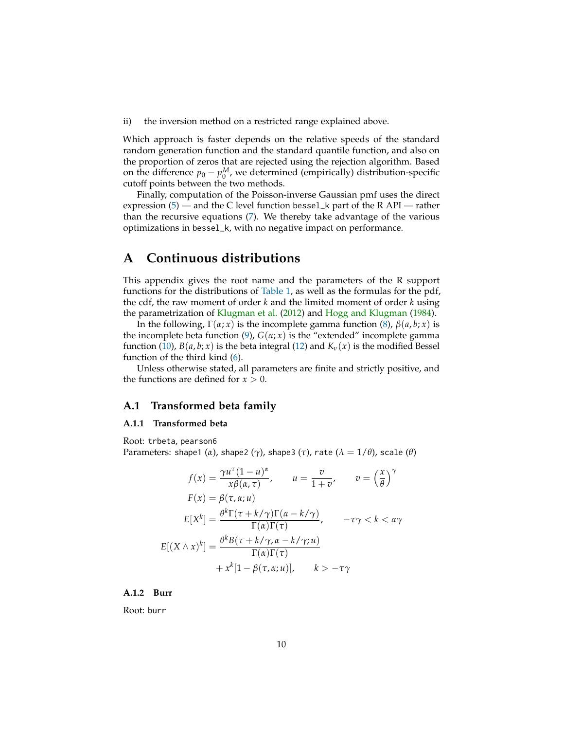ii) the inversion method on a restricted range explained above.

Which approach is faster depends on the relative speeds of the standard random generation function and the standard quantile function, and also on the proportion of zeros that are rejected using the rejection algorithm. Based on the difference  $p_0 - p_0^M$ , we determined (empirically) distribution-specific cutoff points between the two methods.

Finally, computation of the Poisson-inverse Gaussian pmf uses the direct expression  $(5)$  — and the C level function bessel\_k part of the R API — rather than the recursive equations [\(7\)](#page-6-1). We thereby take advantage of the various optimizations in bessel\_k, with no negative impact on performance.

# <span id="page-9-0"></span>**A Continuous distributions**

This appendix gives the root name and the parameters of the R support functions for the distributions of [Table 1,](#page-1-0) as well as the formulas for the pdf, the cdf, the raw moment of order *k* and the limited moment of order *k* using the parametrization of [Klugman et al.](#page-21-0) [\(2012\)](#page-21-0) and [Hogg and Klugman](#page-21-1) [\(1984\)](#page-21-1).

In the following,  $Γ(α; x)$  is the incomplete gamma function [\(8\)](#page-6-2),  $β(α, b; x)$  is the incomplete beta function [\(9\)](#page-6-0),  $G(\alpha; x)$  is the "extended" incomplete gamma function [\(10\)](#page-7-0),  $B(a, b; x)$  is the beta integral [\(12\)](#page-7-2) and  $K_v(x)$  is the modified Bessel function of the third kind [\(6\)](#page-5-1).

Unless otherwise stated, all parameters are finite and strictly positive, and the functions are defined for  $x > 0$ .

#### **A.1 Transformed beta family**

#### **A.1.1 Transformed beta**

Root: trbeta, pearson6

Parameters: shape1 (*α*), shape2 (*γ*), shape3 (*τ*), rate (*λ* = 1/*θ*), scale (*θ*)

$$
f(x) = \frac{\gamma u^{\tau} (1 - u)^{\alpha}}{x \beta(\alpha, \tau)}, \qquad u = \frac{v}{1 + v}, \qquad v = \left(\frac{x}{\theta}\right)^{\gamma}
$$

$$
F(x) = \beta(\tau, \alpha; u)
$$

$$
E[X^{k}] = \frac{\theta^{k} \Gamma(\tau + k/\gamma) \Gamma(\alpha - k/\gamma)}{\Gamma(\alpha) \Gamma(\tau)}, \qquad -\tau \gamma < k < \alpha \gamma
$$

$$
E[(X \wedge x)^{k}] = \frac{\theta^{k} B(\tau + k/\gamma, \alpha - k/\gamma; u)}{\Gamma(\alpha) \Gamma(\tau)}
$$

$$
+ x^{k} [1 - \beta(\tau, \alpha; u)], \qquad k > -\tau \gamma
$$

#### **A.1.2 Burr**

Root: burr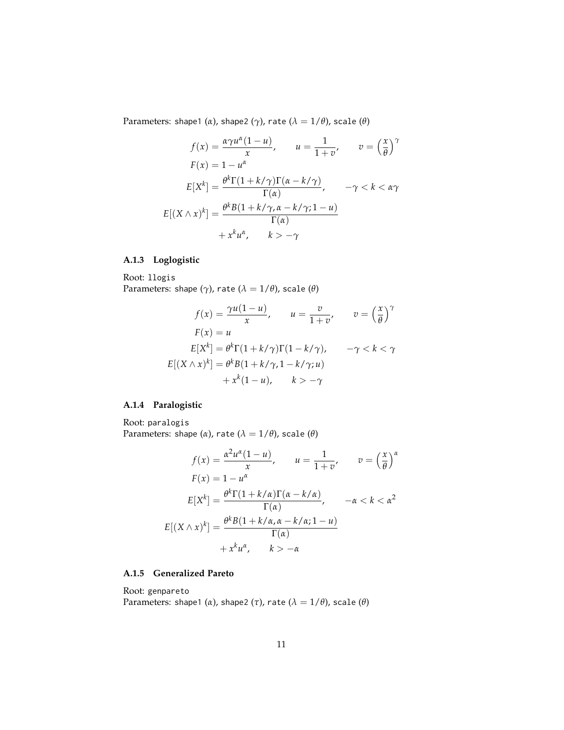Parameters: shape1 ( $\alpha$ ), shape2 ( $\gamma$ ), rate ( $\lambda = 1/\theta$ ), scale ( $\theta$ )

$$
f(x) = \frac{\alpha \gamma u^{\alpha} (1 - u)}{x}, \qquad u = \frac{1}{1 + v}, \qquad v = \left(\frac{x}{\theta}\right)^{\gamma}
$$

$$
F(x) = 1 - u^{\alpha}
$$

$$
E[X^{k}] = \frac{\theta^{k} \Gamma(1 + k/\gamma) \Gamma(\alpha - k/\gamma)}{\Gamma(\alpha)}, \qquad -\gamma < k < \alpha \gamma
$$

$$
E[(X \wedge x)^{k}] = \frac{\theta^{k} B(1 + k/\gamma, \alpha - k/\gamma; 1 - u)}{\Gamma(\alpha)}
$$

$$
+ x^{k} u^{\alpha}, \qquad k > -\gamma
$$

## **A.1.3 Loglogistic**

Root: llogis Parameters: shape  $(\gamma)$ , rate  $(\lambda = 1/\theta)$ , scale  $(\theta)$ 

$$
f(x) = \frac{\gamma u(1-u)}{x}, \qquad u = \frac{v}{1+v}, \qquad v = \left(\frac{x}{\theta}\right)^{\gamma}
$$

$$
F(x) = u
$$

$$
E[X^k] = \theta^k \Gamma(1+k/\gamma) \Gamma(1-k/\gamma), \qquad -\gamma < k < \gamma
$$

$$
E[(X \wedge x)^k] = \theta^k B(1+k/\gamma, 1-k/\gamma; u)
$$

$$
+ x^k (1-u), \qquad k > -\gamma
$$

## **A.1.4 Paralogistic**

Root: paralogis Parameters: shape  $(\alpha)$ , rate  $(\lambda = 1/\theta)$ , scale  $(\theta)$ 

$$
f(x) = \frac{\alpha^2 u^{\alpha} (1 - u)}{x}, \qquad u = \frac{1}{1 + v}, \qquad v = \left(\frac{x}{\theta}\right)^{\alpha}
$$

$$
F(x) = 1 - u^{\alpha}
$$

$$
E[X^k] = \frac{\theta^k \Gamma(1 + k/\alpha) \Gamma(\alpha - k/\alpha)}{\Gamma(\alpha)}, \qquad -\alpha < k < \alpha^2
$$

$$
E[(X \wedge x)^k] = \frac{\theta^k B(1 + k/\alpha, \alpha - k/\alpha; 1 - u)}{\Gamma(\alpha)}
$$

$$
+ x^k u^{\alpha}, \qquad k > -\alpha
$$

## **A.1.5 Generalized Pareto**

Root: genpareto Parameters: shape1 ( $\alpha$ ), shape2 ( $\tau$ ), rate ( $\lambda = 1/\theta$ ), scale ( $\theta$ )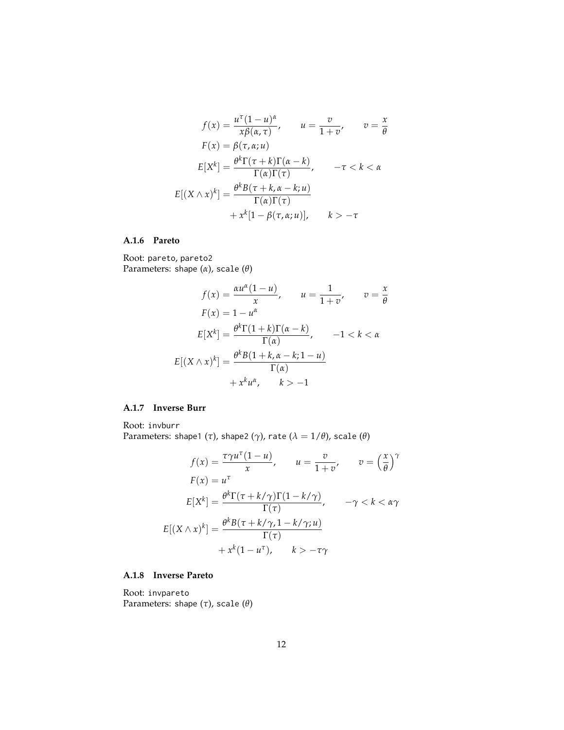$$
f(x) = \frac{u^{\tau}(1-u)^{\alpha}}{x\beta(\alpha,\tau)}, \qquad u = \frac{v}{1+v}, \qquad v = \frac{x}{\theta}
$$

$$
F(x) = \beta(\tau, \alpha; u)
$$

$$
E[X^{k}] = \frac{\theta^{k}\Gamma(\tau+k)\Gamma(\alpha-k)}{\Gamma(\alpha)\Gamma(\tau)}, \qquad -\tau < k < \alpha
$$

$$
E[(X \wedge x)^{k}] = \frac{\theta^{k}B(\tau+k, \alpha-k; u)}{\Gamma(\alpha)\Gamma(\tau)}
$$

$$
+ x^{k}[1-\beta(\tau, \alpha; u)], \qquad k > -\tau
$$

## **A.1.6 Pareto**

Root: pareto, pareto2 Parameters: shape (*α*), scale (*θ*)

$$
f(x) = \frac{\alpha u^{\alpha}(1 - u)}{x}, \qquad u = \frac{1}{1 + v}, \qquad v = \frac{x}{\theta}
$$

$$
F(x) = 1 - u^{\alpha}
$$

$$
E[X^{k}] = \frac{\theta^{k} \Gamma(1 + k) \Gamma(\alpha - k)}{\Gamma(\alpha)}, \qquad -1 < k < \alpha
$$

$$
E[(X \wedge x)^{k}] = \frac{\theta^{k} B(1 + k, \alpha - k; 1 - u)}{\Gamma(\alpha)}
$$

$$
+ x^{k} u^{\alpha}, \qquad k > -1
$$

### **A.1.7 Inverse Burr**

Root: invburr Parameters: shape1 ( $\tau$ ), shape2 ( $\gamma$ ), rate ( $\lambda = 1/\theta$ ), scale ( $\theta$ )

$$
f(x) = \frac{\tau \gamma u^{\tau} (1 - u)}{x}, \qquad u = \frac{v}{1 + v}, \qquad v = \left(\frac{x}{\theta}\right)^{\gamma}
$$

$$
F(x) = u^{\tau}
$$

$$
E[X^{k}] = \frac{\theta^{k} \Gamma(\tau + k/\gamma) \Gamma(1 - k/\gamma)}{\Gamma(\tau)}, \qquad -\gamma < k < \alpha \gamma
$$

$$
E[(X \wedge x)^{k}] = \frac{\theta^{k} B(\tau + k/\gamma, 1 - k/\gamma; u)}{\Gamma(\tau)}
$$

$$
+ x^{k} (1 - u^{\tau}), \qquad k > -\tau \gamma
$$

## **A.1.8 Inverse Pareto**

Root: invpareto Parameters: shape (*τ*), scale (*θ*)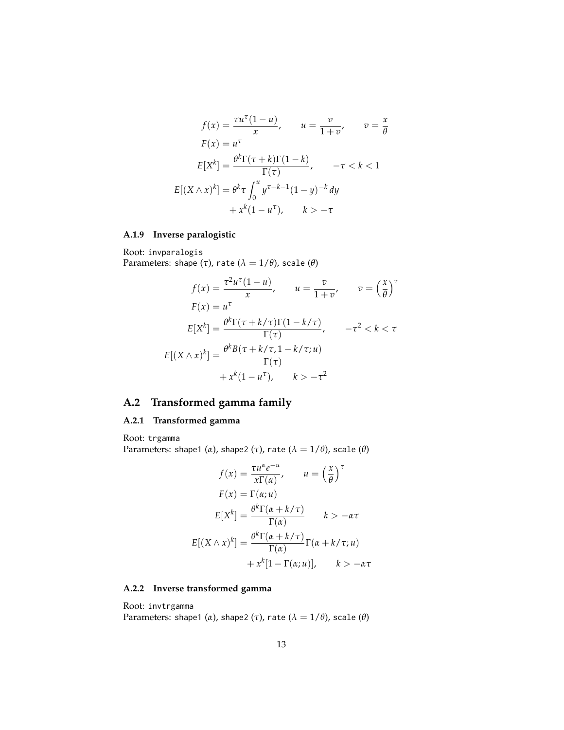$$
f(x) = \frac{\tau u^{\tau}(1 - u)}{x}, \qquad u = \frac{v}{1 + v}, \qquad v = \frac{x}{\theta}
$$

$$
F(x) = u^{\tau}
$$

$$
E[X^{k}] = \frac{\theta^{k}\Gamma(\tau + k)\Gamma(1 - k)}{\Gamma(\tau)}, \qquad -\tau < k < 1
$$

$$
E[(X \wedge x)^{k}] = \theta^{k}\tau \int_{0}^{u} y^{\tau + k - 1}(1 - y)^{-k} dy
$$

$$
+ x^{k}(1 - u^{\tau}), \qquad k > -\tau
$$

# **A.1.9 Inverse paralogistic**

Root: invparalogis Parameters: shape  $(\tau)$ , rate  $(\lambda = 1/\theta)$ , scale  $(\theta)$ 

$$
f(x) = \frac{\tau^2 u^\tau (1 - u)}{x}, \qquad u = \frac{v}{1 + v}, \qquad v = \left(\frac{x}{\theta}\right)^\tau
$$

$$
F(x) = u^\tau
$$

$$
E[X^k] = \frac{\theta^k \Gamma(\tau + k/\tau) \Gamma(1 - k/\tau)}{\Gamma(\tau)}, \qquad -\tau^2 < k < \tau
$$

$$
E[(X \wedge x)^k] = \frac{\theta^k B(\tau + k/\tau, 1 - k/\tau; u)}{\Gamma(\tau)}
$$

$$
+ x^k (1 - u^\tau), \qquad k > -\tau^2
$$

# **A.2 Transformed gamma family**

## **A.2.1 Transformed gamma**

Root: trgamma Parameters: shape1 ( $\alpha$ ), shape2 ( $\tau$ ), rate ( $\lambda = 1/\theta$ ), scale ( $\theta$ )

$$
f(x) = \frac{\tau u^{\alpha} e^{-u}}{x \Gamma(\alpha)}, \qquad u = \left(\frac{x}{\theta}\right)^{\tau}
$$

$$
F(x) = \Gamma(\alpha; u)
$$

$$
E[X^{k}] = \frac{\theta^{k} \Gamma(\alpha + k/\tau)}{\Gamma(\alpha)} \qquad k > -\alpha \tau
$$

$$
E[(X \wedge x)^{k}] = \frac{\theta^{k} \Gamma(\alpha + k/\tau)}{\Gamma(\alpha)} \Gamma(\alpha + k/\tau; u)
$$

$$
+ x^{k} [1 - \Gamma(\alpha; u)], \qquad k > -\alpha \tau
$$

#### **A.2.2 Inverse transformed gamma**

Root: invtrgamma Parameters: shape1 ( $\alpha$ ), shape2 ( $\tau$ ), rate ( $\lambda = 1/\theta$ ), scale ( $\theta$ )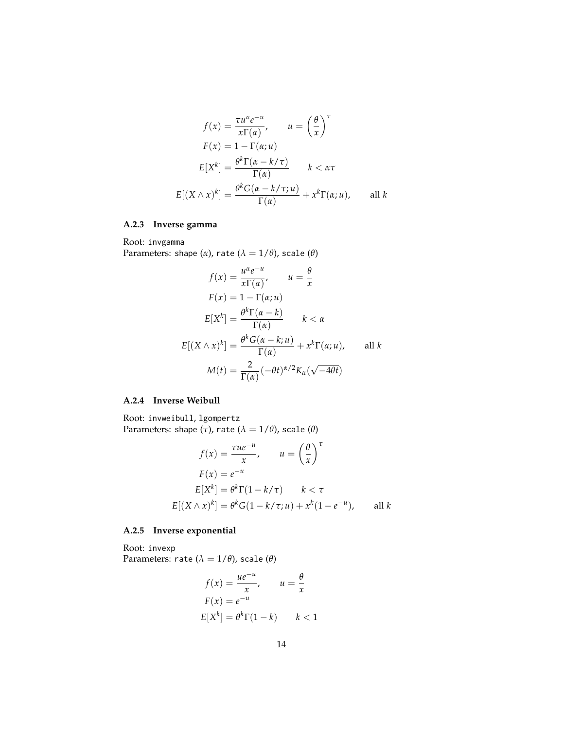$$
f(x) = \frac{\tau u^{\alpha} e^{-u}}{x \Gamma(\alpha)}, \qquad u = \left(\frac{\theta}{x}\right)^{\tau}
$$

$$
F(x) = 1 - \Gamma(\alpha; u)
$$

$$
E[X^{k}] = \frac{\theta^{k} \Gamma(\alpha - k/\tau)}{\Gamma(\alpha)} \qquad k < \alpha \tau
$$

$$
E[(X \wedge x)^{k}] = \frac{\theta^{k} G(\alpha - k/\tau; u)}{\Gamma(\alpha)} + x^{k} \Gamma(\alpha; u), \qquad \text{all } k
$$

## **A.2.3 Inverse gamma**

Root: invgamma Parameters: shape ( $\alpha$ ), rate ( $\lambda = 1/\theta$ ), scale ( $\theta$ )

$$
f(x) = \frac{u^{\alpha}e^{-u}}{x\Gamma(\alpha)}, \qquad u = \frac{\theta}{x}
$$

$$
F(x) = 1 - \Gamma(\alpha; u)
$$

$$
E[X^{k}] = \frac{\theta^{k}\Gamma(\alpha - k)}{\Gamma(\alpha)} \qquad k < \alpha
$$

$$
E[(X \wedge x)^{k}] = \frac{\theta^{k}G(\alpha - k; u)}{\Gamma(\alpha)} + x^{k}\Gamma(\alpha; u), \qquad \text{all } k
$$

$$
M(t) = \frac{2}{\Gamma(\alpha)}(-\theta t)^{\alpha/2}K_{\alpha}(\sqrt{-4\theta}t)
$$

### **A.2.4 Inverse Weibull**

Root: invweibull, lgompertz Parameters: shape  $(\tau)$ , rate  $(\lambda = 1/\theta)$ , scale  $(\theta)$ 

$$
f(x) = \frac{\tau u e^{-u}}{x}, \qquad u = \left(\frac{\theta}{x}\right)^{\tau}
$$

$$
F(x) = e^{-u}
$$

$$
E[X^k] = \theta^k \Gamma(1 - k/\tau) \qquad k < \tau
$$

$$
E[(X \wedge x)^k] = \theta^k G(1 - k/\tau; u) + x^k (1 - e^{-u}), \qquad \text{all } k
$$

## **A.2.5 Inverse exponential**

Root: invexp Parameters: rate ( $\lambda = 1/\theta$ ), scale ( $\theta$ )

$$
f(x) = \frac{ue^{-u}}{x}, \qquad u = \frac{\theta}{x}
$$

$$
F(x) = e^{-u}
$$

$$
E[X^k] = \theta^k \Gamma(1 - k) \qquad k < 1
$$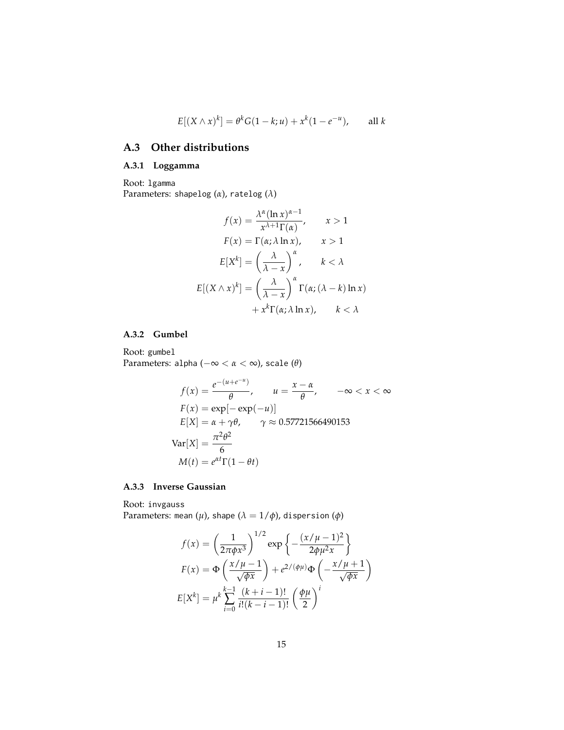$$
E[(X \wedge x)^k] = \theta^k G(1 - k; u) + x^k (1 - e^{-u}), \quad \text{all } k
$$

## **A.3 Other distributions**

## **A.3.1 Loggamma**

Root: lgamma Parameters: shapelog (*α*), ratelog (*λ*)

$$
f(x) = \frac{\lambda^{\alpha} (\ln x)^{\alpha - 1}}{x^{\lambda + 1} \Gamma(\alpha)}, \qquad x > 1
$$

$$
F(x) = \Gamma(\alpha; \lambda \ln x), \qquad x > 1
$$

$$
E[X^{k}] = \left(\frac{\lambda}{\lambda - x}\right)^{\alpha}, \qquad k < \lambda
$$

$$
E[(X \wedge x)^{k}] = \left(\frac{\lambda}{\lambda - x}\right)^{\alpha} \Gamma(\alpha; (\lambda - k) \ln x)
$$

$$
+ x^{k} \Gamma(\alpha; \lambda \ln x), \qquad k < \lambda
$$

#### **A.3.2 Gumbel**

Root: gumbel Parameters: alpha (−∞ < *α* < ∞), scale (*θ*)

$$
f(x) = \frac{e^{-(u+e^{-u})}}{\theta}, \qquad u = \frac{x-\alpha}{\theta}, \qquad -\infty < x < \infty
$$
\n
$$
F(x) = \exp[-\exp(-u)]
$$
\n
$$
E[X] = \alpha + \gamma \theta, \qquad \gamma \approx 0.57721566490153
$$
\n
$$
Var[X] = \frac{\pi^2 \theta^2}{6}
$$
\n
$$
M(t) = e^{\alpha t} \Gamma(1 - \theta t)
$$

## **A.3.3 Inverse Gaussian**

Root: invgauss Parameters: mean  $(\mu)$ , shape  $(\lambda = 1/\phi)$ , dispersion  $(\phi)$ 

$$
f(x) = \left(\frac{1}{2\pi\phi x^3}\right)^{1/2} \exp\left\{-\frac{(x/\mu - 1)^2}{2\phi\mu^2 x}\right\}
$$

$$
F(x) = \Phi\left(\frac{x/\mu - 1}{\sqrt{\phi x}}\right) + e^{2/(\phi\mu)}\Phi\left(-\frac{x/\mu + 1}{\sqrt{\phi x}}\right)
$$

$$
E[X^k] = \mu^k \sum_{i=0}^{k-1} \frac{(k+i-1)!}{i!(k-i-1)!} \left(\frac{\phi\mu}{2}\right)^i
$$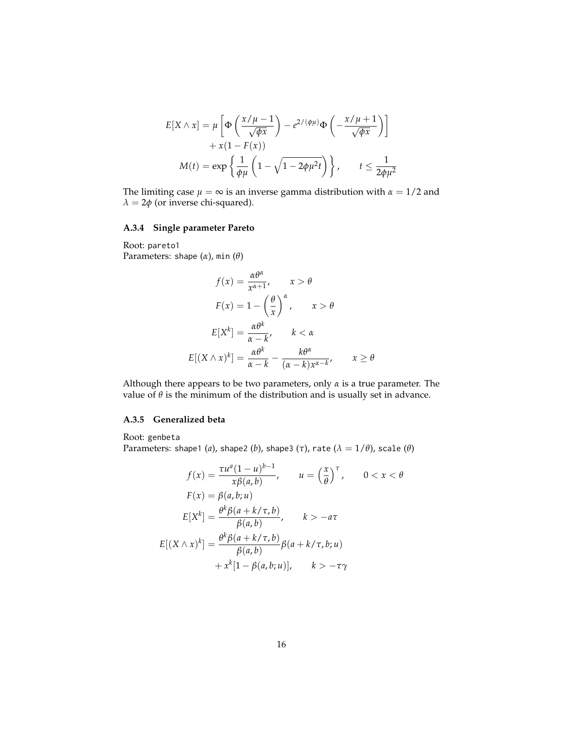$$
E[X \wedge x] = \mu \left[ \Phi \left( \frac{x/\mu - 1}{\sqrt{\phi x}} \right) - e^{2/(\phi \mu)} \Phi \left( -\frac{x/\mu + 1}{\sqrt{\phi x}} \right) \right] + x(1 - F(x)) M(t) = \exp \left\{ \frac{1}{\phi \mu} \left( 1 - \sqrt{1 - 2\phi \mu^2 t} \right) \right\}, \qquad t \le \frac{1}{2\phi \mu^2}
$$

The limiting case  $\mu = \infty$  is an inverse gamma distribution with  $\alpha = 1/2$  and  $\lambda = 2\phi$  (or inverse chi-squared).

## **A.3.4 Single parameter Pareto**

Root: pareto1 Parameters: shape (*α*), min (*θ*)

$$
f(x) = \frac{\alpha \theta^{\alpha}}{x^{\alpha+1}}, \qquad x > \theta
$$

$$
F(x) = 1 - \left(\frac{\theta}{x}\right)^{\alpha}, \qquad x > \theta
$$

$$
E[X^{k}] = \frac{\alpha \theta^{k}}{\alpha - k}, \qquad k < \alpha
$$

$$
E[(X \wedge x)^{k}] = \frac{\alpha \theta^{k}}{\alpha - k} - \frac{k\theta^{\alpha}}{(\alpha - k)x^{\alpha - k}}, \qquad x \ge \theta
$$

Although there appears to be two parameters, only  $\alpha$  is a true parameter. The value of  $\theta$  is the minimum of the distribution and is usually set in advance.

#### **A.3.5 Generalized beta**

Root: genbeta

Parameters: shape1 (*a*), shape2 (*b*), shape3 ( $\tau$ ), rate ( $\lambda = 1/\theta$ ), scale ( $\theta$ )

$$
f(x) = \frac{\tau u^a (1 - u)^{b - 1}}{x \beta(a, b)}, \qquad u = \left(\frac{x}{\theta}\right)^{\tau}, \qquad 0 < x < \theta
$$
\n
$$
F(x) = \beta(a, b; u)
$$
\n
$$
E[X^k] = \frac{\theta^k \beta(a + k/\tau, b)}{\beta(a, b)}, \qquad k > -a\tau
$$
\n
$$
E[(X \wedge x)^k] = \frac{\theta^k \beta(a + k/\tau, b)}{\beta(a, b)} \beta(a + k/\tau, b; u)
$$
\n
$$
+ x^k [1 - \beta(a, b; u)], \qquad k > -\tau \gamma
$$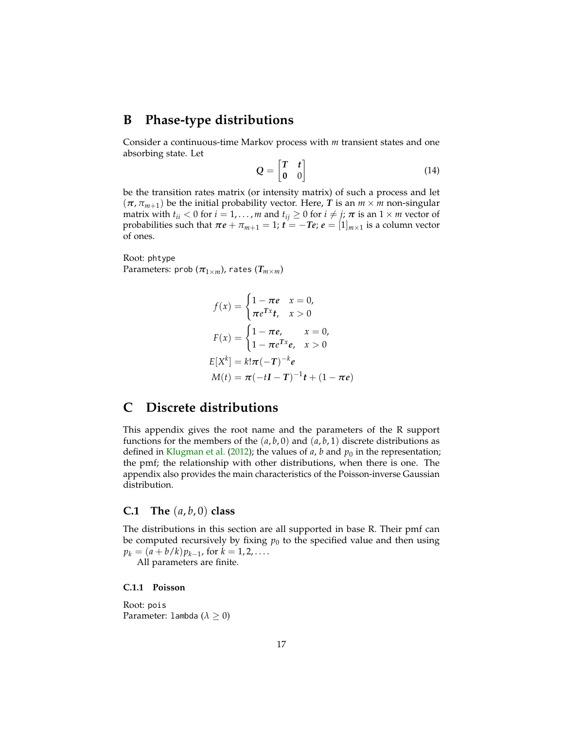# <span id="page-16-0"></span>**B Phase-type distributions**

Consider a continuous-time Markov process with *m* transient states and one absorbing state. Let

$$
Q = \begin{bmatrix} T & t \\ 0 & 0 \end{bmatrix} \tag{14}
$$

be the transition rates matrix (or intensity matrix) of such a process and let  $(\pi, \pi_{m+1})$  be the initial probability vector. Here, *T* is an  $m \times m$  non-singular matrix with  $t_{ii} < 0$  for  $i = 1, ..., m$  and  $t_{ij} \ge 0$  for  $i \ne j$ ;  $\pi$  is an  $1 \times m$  vector of probabilities such that  $\pi e + \pi_{m+1} = 1$ ;  $\vec{t} = -Te$ ;  $\vec{e} = [1]_{m \times 1}$  is a column vector of ones.

Root: phtype Parameters: prob  $(\pi_{1 \times m})$ , rates  $(T_{m \times m})$ 

$$
f(x) = \begin{cases} 1 - \pi e & x = 0, \\ \pi e^{Tx} t, & x > 0 \end{cases}
$$
  

$$
F(x) = \begin{cases} 1 - \pi e, & x = 0, \\ 1 - \pi e^{Tx} e, & x > 0 \end{cases}
$$
  

$$
E[X^k] = k! \pi (-T)^{-k} e
$$
  

$$
M(t) = \pi (-tI - T)^{-1} t + (1 - \pi e)
$$

# <span id="page-16-1"></span>**C Discrete distributions**

This appendix gives the root name and the parameters of the R support functions for the members of the  $(a, b, 0)$  and  $(a, b, 1)$  discrete distributions as defined in [Klugman et al.](#page-21-0) [\(2012\)](#page-21-0); the values of  $a$ ,  $b$  and  $p_0$  in the representation; the pmf; the relationship with other distributions, when there is one. The appendix also provides the main characteristics of the Poisson-inverse Gaussian distribution.

## **C.1** The  $(a, b, 0)$  class

The distributions in this section are all supported in base R. Their pmf can be computed recursively by fixing  $p_0$  to the specified value and then using  $p_k = (a + b/k)p_{k-1}$ , for  $k = 1, 2, \dots$ .

All parameters are finite.

**C.1.1 Poisson**

Root: pois Parameter: lambda  $(\lambda \geq 0)$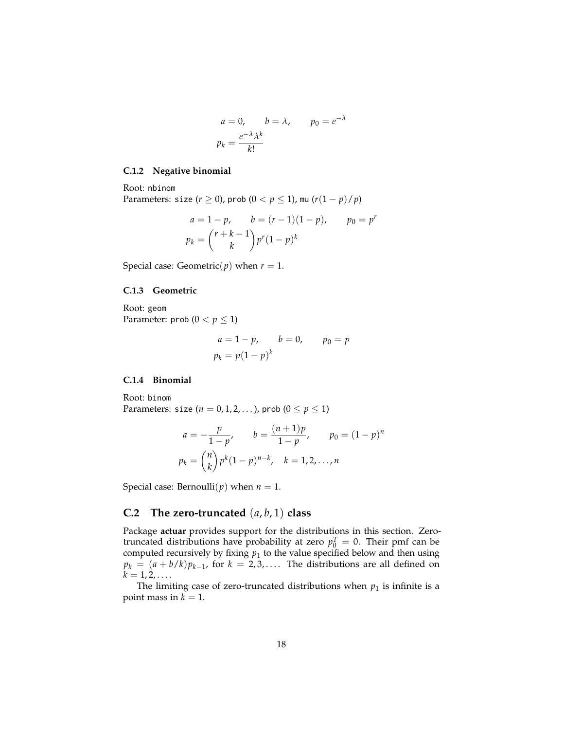$$
a = 0, \t b = \lambda, \t p_0 = e^{-\lambda}
$$
  

$$
p_k = \frac{e^{-\lambda}\lambda^k}{k!}
$$

#### **C.1.2 Negative binomial**

Root: nbinom Parameters: size ( $r \ge 0$ ), prob ( $0 < p \le 1$ ), mu ( $r(1 - p)/p$ )

$$
a = 1 - p, \t b = (r - 1)(1 - p), \t p_0 = p^r
$$
  

$$
p_k = {r + k - 1 \choose k} p^r (1 - p)^k
$$

Special case: Geometric( $p$ ) when  $r = 1$ .

#### **C.1.3 Geometric**

Root: geom Parameter:  $prob(0 < p \leq 1)$ 

$$
a = 1 - p,
$$
  $b = 0,$   $p_0 = p$   
 $p_k = p(1 - p)^k$ 

#### **C.1.4 Binomial**

Root: binom Parameters: size ( $n = 0, 1, 2, \ldots$ ), prob ( $0 \le p \le 1$ )

$$
a = -\frac{p}{1-p}, \qquad b = \frac{(n+1)p}{1-p}, \qquad p_0 = (1-p)^n
$$

$$
p_k = \binom{n}{k} p^k (1-p)^{n-k}, \quad k = 1, 2, ..., n
$$

Special case: Bernoulli( $p$ ) when  $n = 1$ .

## **C.2 The zero-truncated** (*a*, *b*, 1) **class**

Package **actuar** provides support for the distributions in this section. Zerotruncated distributions have probability at zero  $p_0^T = 0$ . Their pmf can be computed recursively by fixing *p*<sup>1</sup> to the value specified below and then using  $p_k = (a + b/k)p_{k-1}$ , for  $k = 2, 3, \ldots$ . The distributions are all defined on  $k = 1, 2, \ldots$ 

The limiting case of zero-truncated distributions when  $p_1$  is infinite is a point mass in  $k = 1$ .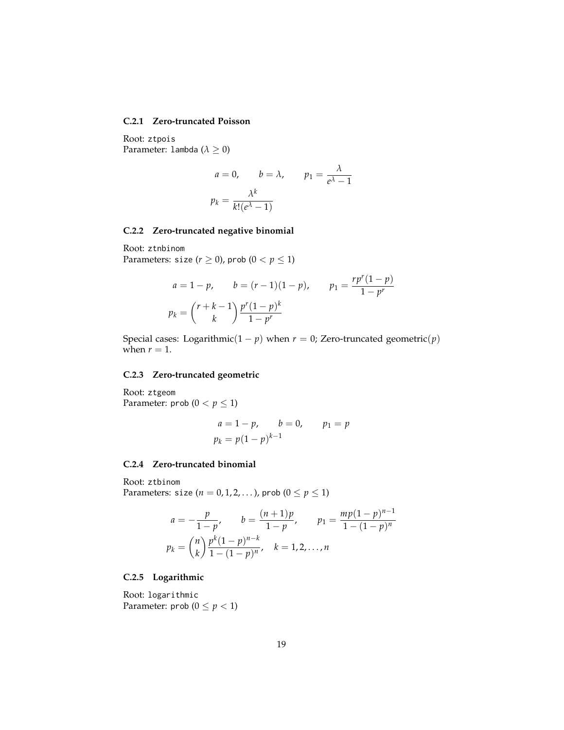#### **C.2.1 Zero-truncated Poisson**

Root: ztpois Parameter: lambda (*λ* ≥ 0)

$$
a = 0, \t b = \lambda, \t p_1 = \frac{\lambda}{e^{\lambda} - 1}
$$

$$
p_k = \frac{\lambda^k}{k! (e^{\lambda} - 1)}
$$

#### **C.2.2 Zero-truncated negative binomial**

Root: ztnbinom Parameters: size  $(r \ge 0)$ , prob  $(0 < p \le 1)$ 

$$
a = 1 - p, \t b = (r - 1)(1 - p), \t p_1 = \frac{rp^{r}(1 - p)}{1 - p^{r}}
$$

$$
p_k = {r + k - 1 \choose k} \frac{p^{r}(1 - p)^k}{1 - p^{r}}
$$

Special cases: Logarithmic( $1 - p$ ) when  $r = 0$ ; Zero-truncated geometric( $p$ ) when  $r = 1$ .

#### **C.2.3 Zero-truncated geometric**

Root: ztgeom Parameter:  $prob(0 < p \leq 1)$ 

$$
a = 1 - p,
$$
  $b = 0,$   $p_1 = p$   
 $p_k = p(1 - p)^{k-1}$ 

#### **C.2.4 Zero-truncated binomial**

Root: ztbinom Parameters: size (*n* = 0, 1, 2, ...), prob ( $0 \le p \le 1$ )

$$
a = -\frac{p}{1-p}, \qquad b = \frac{(n+1)p}{1-p}, \qquad p_1 = \frac{mp(1-p)^{n-1}}{1-(1-p)^n}
$$

$$
p_k = {n \choose k} \frac{p^k (1-p)^{n-k}}{1-(1-p)^n}, \quad k = 1, 2, ..., n
$$

## **C.2.5 Logarithmic**

Root: logarithmic Parameter:  $prob(0 \le p < 1)$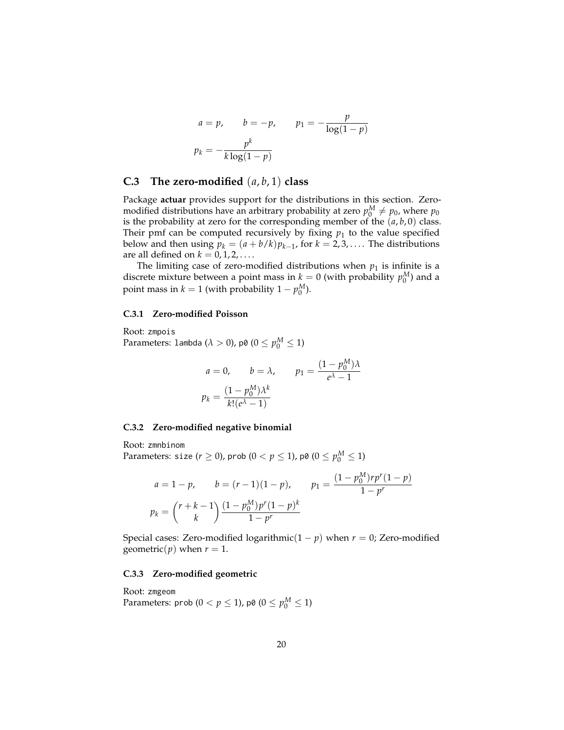$$
a = p, \qquad b = -p, \qquad p_1 = -\frac{p}{\log(1-p)}
$$

$$
p_k = -\frac{p^k}{k \log(1-p)}
$$

## **C.3 The zero-modified** (*a*, *b*, 1) **class**

Package **actuar** provides support for the distributions in this section. Zeromodified distributions have an arbitrary probability at zero  $p_0^M \neq p_0$ , where  $p_0$ is the probability at zero for the corresponding member of the  $(a, b, 0)$  class. Their pmf can be computed recursively by fixing  $p_1$  to the value specified below and then using  $p_k = (a + b/k)p_{k-1}$ , for  $k = 2, 3, \ldots$ . The distributions are all defined on  $k = 0, 1, 2, \ldots$ .

The limiting case of zero-modified distributions when  $p_1$  is infinite is a discrete mixture between a point mass in  $k = 0$  (with probability  $p_0^M$ ) and a point mass in  $k = 1$  (with probability  $1 - p_0^M$ ).

#### **C.3.1 Zero-modified Poisson**

Root: zmpois Parameters: lambda ( $\lambda > 0$ ), p0 ( $0 \le p_0^M \le 1$ )

$$
a = 0, \qquad b = \lambda, \qquad p_1 = \frac{(1 - p_0^M)\lambda}{e^{\lambda} - 1}
$$

$$
p_k = \frac{(1 - p_0^M)\lambda^k}{k!(e^{\lambda} - 1)}
$$

#### **C.3.2 Zero-modified negative binomial**

Root: zmnbinom

Parameters: size ( $r \ge 0$ ), prob ( $0 < p \le 1$ ), p0 ( $0 \le p_0^M \le 1$ )

$$
a = 1 - p, \t b = (r - 1)(1 - p), \t p_1 = \frac{(1 - p_0^M)rp^r(1 - p)}{1 - p^r}
$$

$$
p_k = \binom{r + k - 1}{k} \frac{(1 - p_0^M)p^r(1 - p)^k}{1 - p^r}
$$

Special cases: Zero-modified logarithmic( $1 - p$ ) when  $r = 0$ ; Zero-modified geometric( $p$ ) when  $r = 1$ .

#### **C.3.3 Zero-modified geometric**

Root: zmgeom Parameters: prob ( $0 < p \le 1$ ), p0 ( $0 \le p_0^M \le 1$ )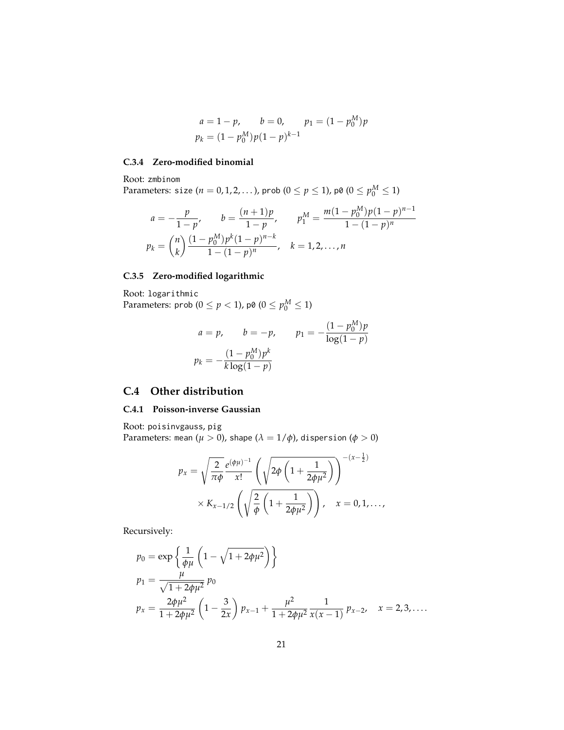$$
a = 1 - p, \t b = 0, \t p_1 = (1 - p_0^M)p
$$
  

$$
p_k = (1 - p_0^M)p(1 - p)^{k-1}
$$

#### **C.3.4 Zero-modified binomial**

Root: zmbinom  $\text{Parameters: size } (n = 0, 1, 2, \ldots), \text{prob } (0 \le p \le 1), \text{p0 } (0 \le p_0^M \le 1)$ 

$$
a = -\frac{p}{1-p}, \qquad b = \frac{(n+1)p}{1-p}, \qquad p_1^M = \frac{m(1-p_0^M)p(1-p)^{n-1}}{1-(1-p)^n}
$$

$$
p_k = {n \choose k} \frac{(1-p_0^M)p^k(1-p)^{n-k}}{1-(1-p)^n}, \quad k = 1, 2, ..., n
$$

# **C.3.5 Zero-modified logarithmic**

Root: logarithmic Parameters: prob ( $0 \le p < 1$ ), p0 ( $0 \le p_0^M \le 1$ )

$$
a = p, \t b = -p, \t p_1 = -\frac{(1 - p_0^M)p}{\log(1 - p)}
$$

$$
p_k = -\frac{(1 - p_0^M)p^k}{k \log(1 - p)}
$$

# <span id="page-20-0"></span>**C.4 Other distribution**

### **C.4.1 Poisson-inverse Gaussian**

Root: poisinvgauss, pig Parameters: mean ( $\mu > 0$ ), shape ( $\lambda = 1/\phi$ ), dispersion ( $\phi > 0$ )

$$
p_x = \sqrt{\frac{2}{\pi \phi}} \frac{e^{(\phi \mu)^{-1}}}{x!} \left( \sqrt{2\phi \left( 1 + \frac{1}{2\phi \mu^2} \right)} \right)^{-(x - \frac{1}{2})} \times K_{x - 1/2} \left( \sqrt{\frac{2}{\phi} \left( 1 + \frac{1}{2\phi \mu^2} \right)} \right), \quad x = 0, 1, ...,
$$

Recursively:

$$
p_0 = \exp\left\{\frac{1}{\phi\mu}\left(1 - \sqrt{1 + 2\phi\mu^2}\right)\right\}
$$
  
\n
$$
p_1 = \frac{\mu}{\sqrt{1 + 2\phi\mu^2}} p_0
$$
  
\n
$$
p_x = \frac{2\phi\mu^2}{1 + 2\phi\mu^2}\left(1 - \frac{3}{2x}\right)p_{x-1} + \frac{\mu^2}{1 + 2\phi\mu^2}\frac{1}{x(x-1)}p_{x-2}, \quad x = 2, 3, ....
$$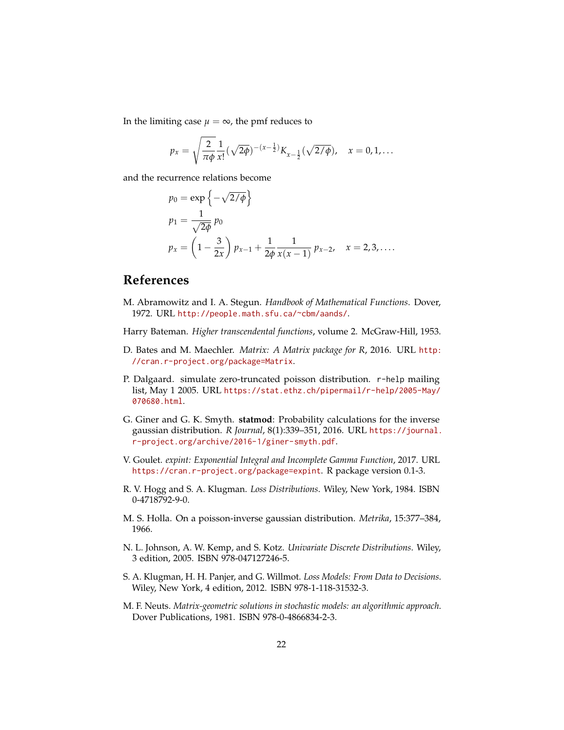In the limiting case  $\mu = \infty$ , the pmf reduces to

$$
p_x = \sqrt{\frac{2}{\pi \phi}} \frac{1}{x!} (\sqrt{2\phi})^{-(x-\frac{1}{2})} K_{x-\frac{1}{2}} (\sqrt{2/\phi}), \quad x = 0, 1, ...
$$

and the recurrence relations become

$$
p_0 = \exp \left\{-\sqrt{2/\phi}\right\}
$$
  
\n
$$
p_1 = \frac{1}{\sqrt{2\phi}} p_0
$$
  
\n
$$
p_x = \left(1 - \frac{3}{2x}\right) p_{x-1} + \frac{1}{2\phi} \frac{1}{x(x-1)} p_{x-2}, \quad x = 2, 3, ....
$$

# **References**

- <span id="page-21-6"></span>M. Abramowitz and I. A. Stegun. *Handbook of Mathematical Functions*. Dover, 1972. URL <http://people.math.sfu.ca/~cbm/aands/>.
- <span id="page-21-5"></span>Harry Bateman. *Higher transcendental functions*, volume 2. McGraw-Hill, 1953.
- <span id="page-21-9"></span>D. Bates and M. Maechler. *Matrix: A Matrix package for R*, 2016. URL [http:](http://cran.r-project.org/package=Matrix) [//cran.r-project.org/package=Matrix](http://cran.r-project.org/package=Matrix).
- <span id="page-21-10"></span>P. Dalgaard. simulate zero-truncated poisson distribution. r-help mailing list, May 1 2005. URL [https://stat.ethz.ch/pipermail/r-help/2005-May/](https://stat.ethz.ch/pipermail/r-help/2005-May/070680.html) [070680.html](https://stat.ethz.ch/pipermail/r-help/2005-May/070680.html).
- <span id="page-21-8"></span>G. Giner and G. K. Smyth. **statmod**: Probability calculations for the inverse gaussian distribution. *R Journal*, 8(1):339–351, 2016. URL [https://journal.](https://journal.r-project.org/archive/2016-1/giner-smyth.pdf) [r-project.org/archive/2016-1/giner-smyth.pdf](https://journal.r-project.org/archive/2016-1/giner-smyth.pdf).
- <span id="page-21-7"></span>V. Goulet. *expint: Exponential Integral and Incomplete Gamma Function*, 2017. URL <https://cran.r-project.org/package=expint>. R package version 0.1-3.
- <span id="page-21-1"></span>R. V. Hogg and S. A. Klugman. *Loss Distributions*. Wiley, New York, 1984. ISBN 0-4718792-9-0.
- <span id="page-21-4"></span>M. S. Holla. On a poisson-inverse gaussian distribution. *Metrika*, 15:377–384, 1966.
- <span id="page-21-3"></span>N. L. Johnson, A. W. Kemp, and S. Kotz. *Univariate Discrete Distributions*. Wiley, 3 edition, 2005. ISBN 978-047127246-5.
- <span id="page-21-0"></span>S. A. Klugman, H. H. Panjer, and G. Willmot. *Loss Models: From Data to Decisions*. Wiley, New York, 4 edition, 2012. ISBN 978-1-118-31532-3.
- <span id="page-21-2"></span>M. F. Neuts. *Matrix-geometric solutions in stochastic models: an algorithmic approach*. Dover Publications, 1981. ISBN 978-0-4866834-2-3.